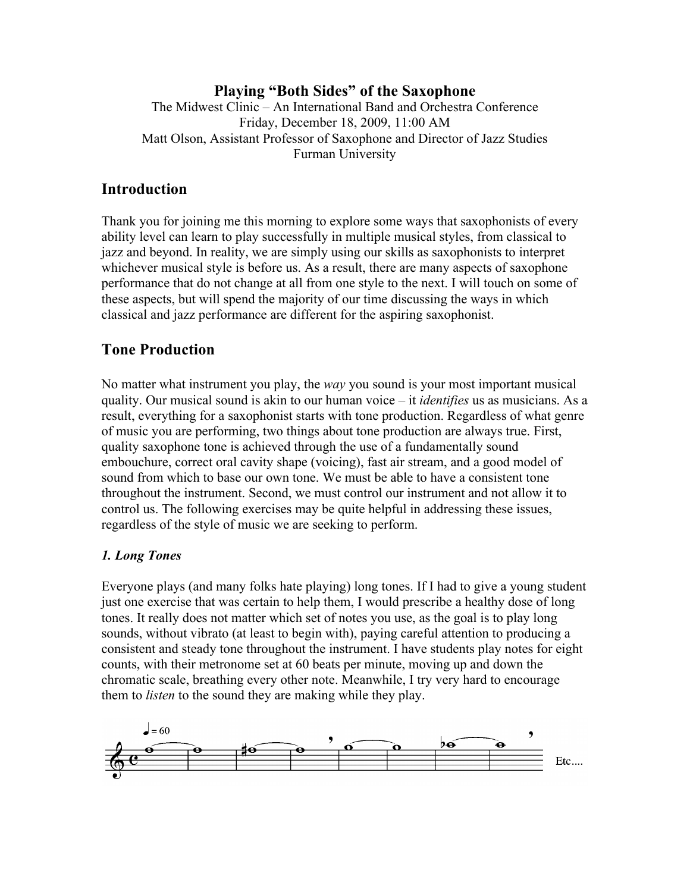# **Playing "Both Sides" of the Saxophone**

The Midwest Clinic – An International Band and Orchestra Conference Friday, December 18, 2009, 11:00 AM Matt Olson, Assistant Professor of Saxophone and Director of Jazz Studies Furman University

# **Introduction**

Thank you for joining me this morning to explore some ways that saxophonists of every ability level can learn to play successfully in multiple musical styles, from classical to jazz and beyond. In reality, we are simply using our skills as saxophonists to interpret whichever musical style is before us. As a result, there are many aspects of saxophone performance that do not change at all from one style to the next. I will touch on some of these aspects, but will spend the majority of our time discussing the ways in which classical and jazz performance are different for the aspiring saxophonist.

# **Tone Production**

No matter what instrument you play, the *way* you sound is your most important musical quality. Our musical sound is akin to our human voice – it *identifies* us as musicians. As a result, everything for a saxophonist starts with tone production. Regardless of what genre of music you are performing, two things about tone production are always true. First, quality saxophone tone is achieved through the use of a fundamentally sound embouchure, correct oral cavity shape (voicing), fast air stream, and a good model of sound from which to base our own tone. We must be able to have a consistent tone throughout the instrument. Second, we must control our instrument and not allow it to control us. The following exercises may be quite helpful in addressing these issues, regardless of the style of music we are seeking to perform.

# *1. Long Tones*

Everyone plays (and many folks hate playing) long tones. If I had to give a young student just one exercise that was certain to help them, I would prescribe a healthy dose of long tones. It really does not matter which set of notes you use, as the goal is to play long sounds, without vibrato (at least to begin with), paying careful attention to producing a consistent and steady tone throughout the instrument. I have students play notes for eight counts, with their metronome set at 60 beats per minute, moving up and down the chromatic scale, breathing every other note. Meanwhile, I try very hard to encourage them to *listen* to the sound they are making while they play.

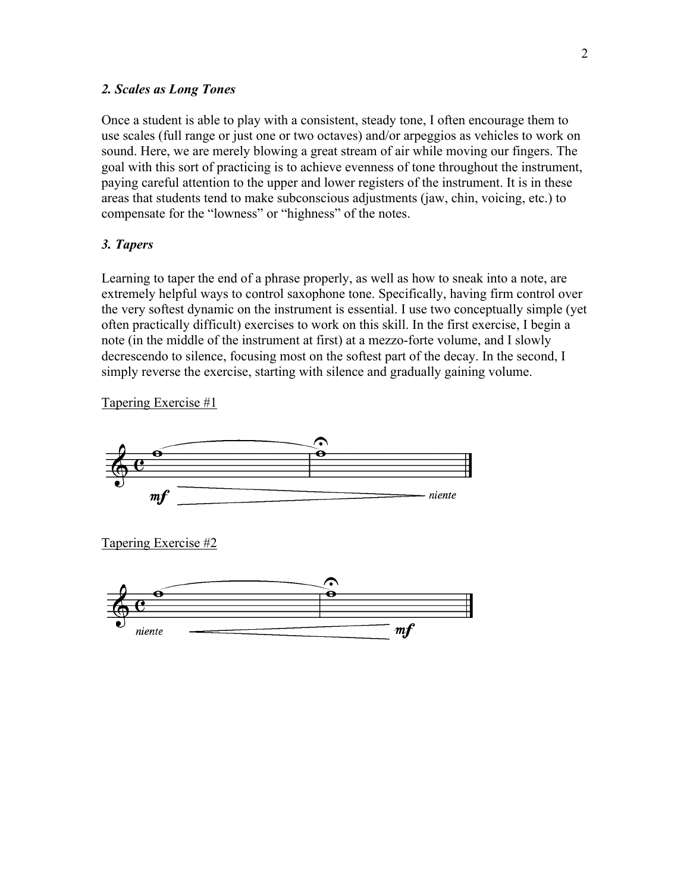### *2. Scales as Long Tones*

Once a student is able to play with a consistent, steady tone, I often encourage them to use scales (full range or just one or two octaves) and/or arpeggios as vehicles to work on sound. Here, we are merely blowing a great stream of air while moving our fingers. The goal with this sort of practicing is to achieve evenness of tone throughout the instrument, paying careful attention to the upper and lower registers of the instrument. It is in these areas that students tend to make subconscious adjustments (jaw, chin, voicing, etc.) to compensate for the "lowness" or "highness" of the notes.

# *3. Tapers*

Learning to taper the end of a phrase properly, as well as how to sneak into a note, are extremely helpful ways to control saxophone tone. Specifically, having firm control over the very softest dynamic on the instrument is essential. I use two conceptually simple (yet often practically difficult) exercises to work on this skill. In the first exercise, I begin a note (in the middle of the instrument at first) at a mezzo-forte volume, and I slowly decrescendo to silence, focusing most on the softest part of the decay. In the second, I simply reverse the exercise, starting with silence and gradually gaining volume.

Tapering Exercise #1



Tapering Exercise #2

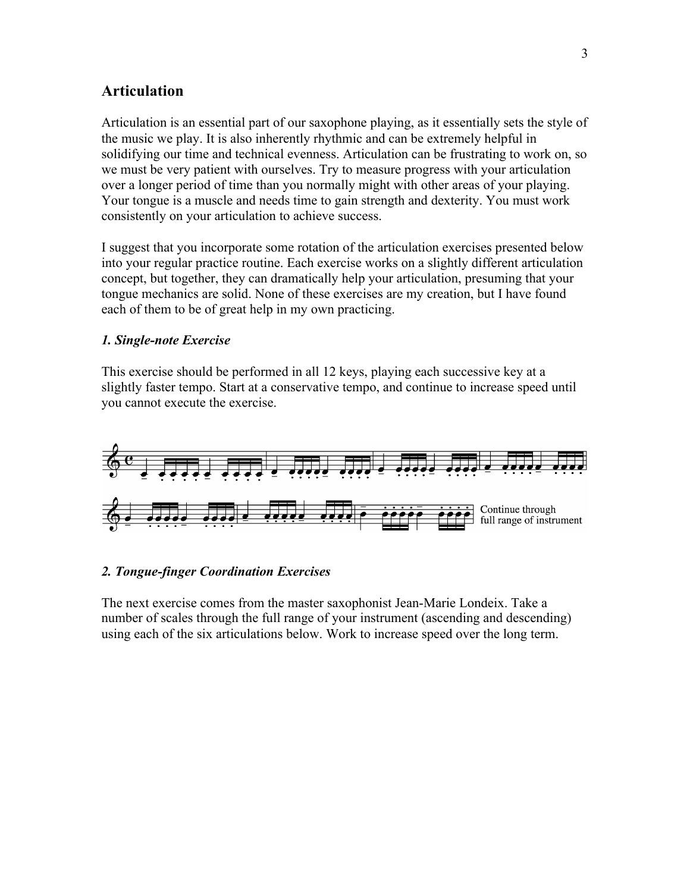# **Articulation**

Articulation is an essential part of our saxophone playing, as it essentially sets the style of the music we play. It is also inherently rhythmic and can be extremely helpful in solidifying our time and technical evenness. Articulation can be frustrating to work on, so we must be very patient with ourselves. Try to measure progress with your articulation over a longer period of time than you normally might with other areas of your playing. Your tongue is a muscle and needs time to gain strength and dexterity. You must work consistently on your articulation to achieve success.

I suggest that you incorporate some rotation of the articulation exercises presented below into your regular practice routine. Each exercise works on a slightly different articulation concept, but together, they can dramatically help your articulation, presuming that your tongue mechanics are solid. None of these exercises are my creation, but I have found each of them to be of great help in my own practicing.

## *1. Single-note Exercise*

This exercise should be performed in all 12 keys, playing each successive key at a slightly faster tempo. Start at a conservative tempo, and continue to increase speed until you cannot execute the exercise.



### *2. Tongue-finger Coordination Exercises*

The next exercise comes from the master saxophonist Jean-Marie Londeix. Take a number of scales through the full range of your instrument (ascending and descending) using each of the six articulations below. Work to increase speed over the long term.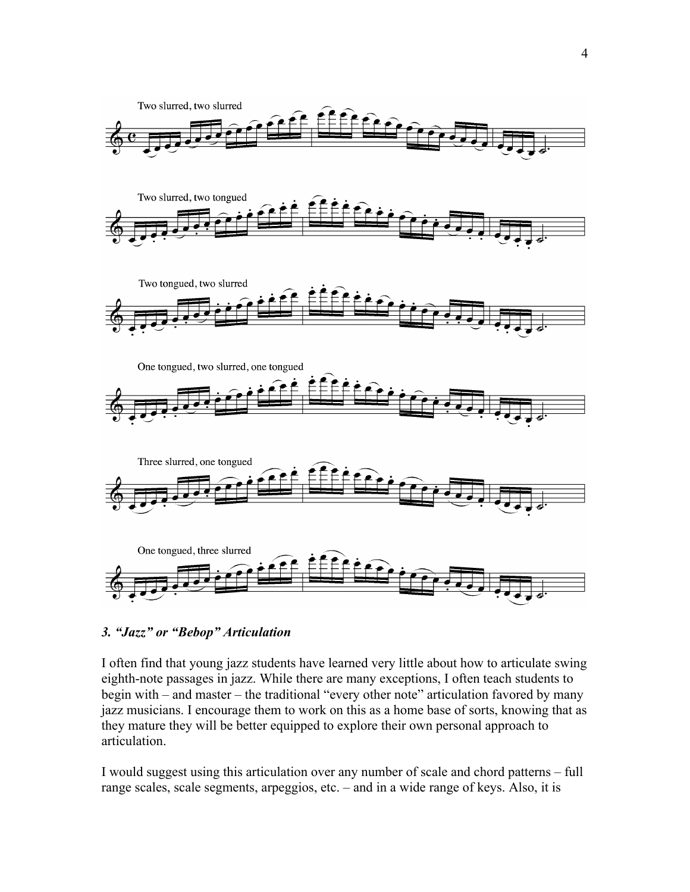

# *3. "Jazz" or "Bebop" Articulation*

I often find that young jazz students have learned very little about how to articulate swing eighth-note passages in jazz. While there are many exceptions, I often teach students to begin with – and master – the traditional "every other note" articulation favored by many jazz musicians. I encourage them to work on this as a home base of sorts, knowing that as they mature they will be better equipped to explore their own personal approach to articulation.

I would suggest using this articulation over any number of scale and chord patterns – full range scales, scale segments, arpeggios, etc. – and in a wide range of keys. Also, it is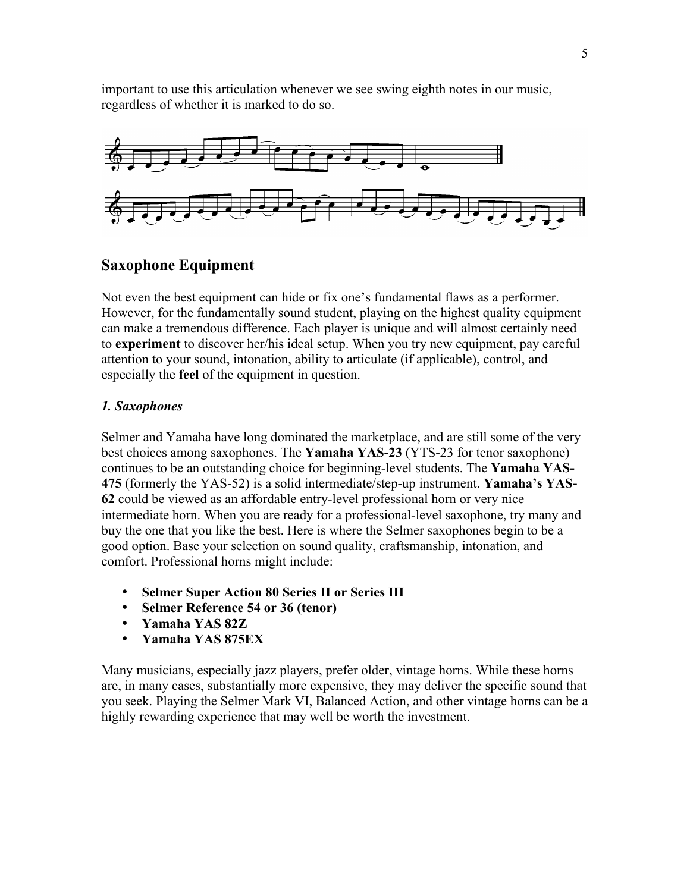important to use this articulation whenever we see swing eighth notes in our music, regardless of whether it is marked to do so.



# **Saxophone Equipment**

Not even the best equipment can hide or fix one's fundamental flaws as a performer. However, for the fundamentally sound student, playing on the highest quality equipment can make a tremendous difference. Each player is unique and will almost certainly need to **experiment** to discover her/his ideal setup. When you try new equipment, pay careful attention to your sound, intonation, ability to articulate (if applicable), control, and especially the **feel** of the equipment in question.

# *1. Saxophones*

Selmer and Yamaha have long dominated the marketplace, and are still some of the very best choices among saxophones. The **Yamaha YAS-23** (YTS-23 for tenor saxophone) continues to be an outstanding choice for beginning-level students. The **Yamaha YAS-475** (formerly the YAS-52) is a solid intermediate/step-up instrument. **Yamaha's YAS-62** could be viewed as an affordable entry-level professional horn or very nice intermediate horn. When you are ready for a professional-level saxophone, try many and buy the one that you like the best. Here is where the Selmer saxophones begin to be a good option. Base your selection on sound quality, craftsmanship, intonation, and comfort. Professional horns might include:

- **Selmer Super Action 80 Series II or Series III**
- **Selmer Reference 54 or 36 (tenor)**
- **Yamaha YAS 82Z**
- **Yamaha YAS 875EX**

Many musicians, especially jazz players, prefer older, vintage horns. While these horns are, in many cases, substantially more expensive, they may deliver the specific sound that you seek. Playing the Selmer Mark VI, Balanced Action, and other vintage horns can be a highly rewarding experience that may well be worth the investment.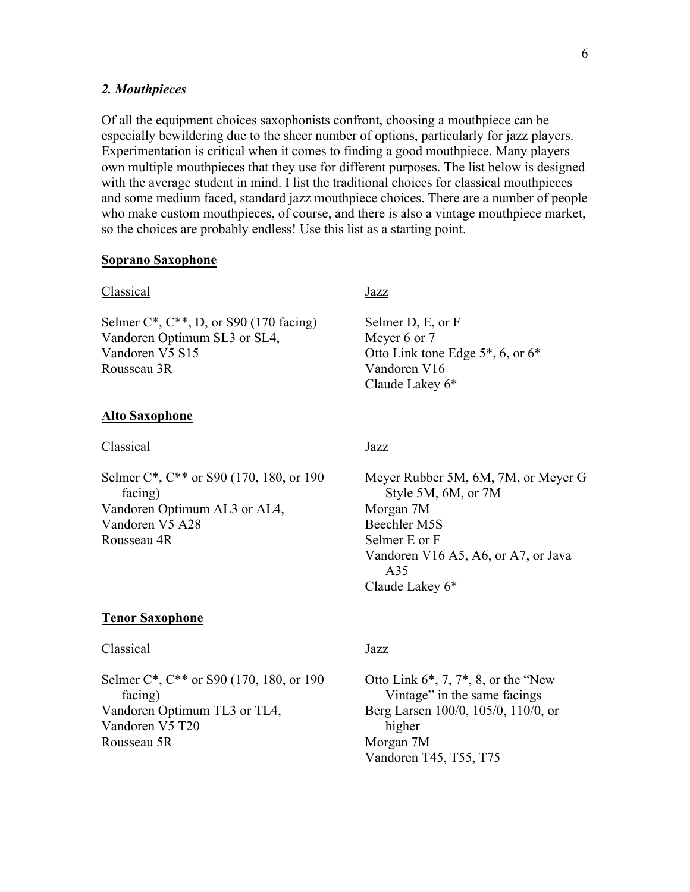#### *2. Mouthpieces*

Of all the equipment choices saxophonists confront, choosing a mouthpiece can be especially bewildering due to the sheer number of options, particularly for jazz players. Experimentation is critical when it comes to finding a good mouthpiece. Many players own multiple mouthpieces that they use for different purposes. The list below is designed with the average student in mind. I list the traditional choices for classical mouthpieces and some medium faced, standard jazz mouthpiece choices. There are a number of people who make custom mouthpieces, of course, and there is also a vintage mouthpiece market, so the choices are probably endless! Use this list as a starting point.

#### **Soprano Saxophone**

#### Classical

Selmer  $C^*$ ,  $C^{**}$ , D, or  $S90$  (170 facing) Vandoren Optimum SL3 or SL4, Vandoren V5 S15 Rousseau 3R

#### **Alto Saxophone**

#### Classical

Selmer C\*, C\*\* or S90 (170, 180, or 190) facing) Vandoren Optimum AL3 or AL4, Vandoren V5 A28 Rousseau 4R

#### Jazz

Selmer D, E, or F Meyer 6 or 7 Otto Link tone Edge 5\*, 6, or 6\* Vandoren V16 Claude Lakey 6\*

# Jazz

Meyer Rubber 5M, 6M, 7M, or Meyer G Style 5M, 6M, or 7M Morgan 7M Beechler M5S Selmer E or F Vandoren V16 A5, A6, or A7, or Java A35 Claude Lakey 6\*

#### **Tenor Saxophone**

#### Classical

Selmer C<sup>\*</sup>, C<sup>\*\*</sup> or S90 (170, 180, or 190) facing) Vandoren Optimum TL3 or TL4, Vandoren V5 T20 Rousseau 5R

## Jazz

Otto Link  $6^*$ , 7,  $7^*$ , 8, or the "New Vintage" in the same facings Berg Larsen 100/0, 105/0, 110/0, or higher Morgan 7M Vandoren T45, T55, T75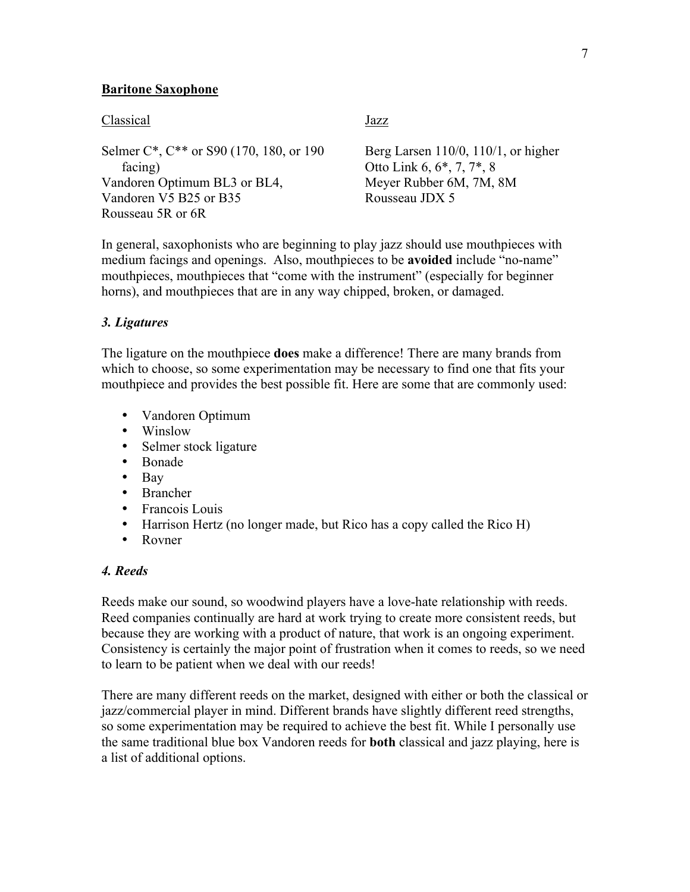# **Baritone Saxophone**

#### Classical

Selmer C\*, C\*\* or S90 (170, 180, or 190) facing) Vandoren Optimum BL3 or BL4, Vandoren V5 B25 or B35 Rousseau 5R or 6R

Jazz

Berg Larsen 110/0, 110/1, or higher Otto Link 6, 6\*, 7, 7\*, 8 Meyer Rubber 6M, 7M, 8M Rousseau JDX 5

In general, saxophonists who are beginning to play jazz should use mouthpieces with medium facings and openings. Also, mouthpieces to be **avoided** include "no-name" mouthpieces, mouthpieces that "come with the instrument" (especially for beginner horns), and mouthpieces that are in any way chipped, broken, or damaged.

## *3. Ligatures*

The ligature on the mouthpiece **does** make a difference! There are many brands from which to choose, so some experimentation may be necessary to find one that fits your mouthpiece and provides the best possible fit. Here are some that are commonly used:

- Vandoren Optimum
- Winslow
- Selmer stock ligature
- Bonade
- Bay
- Brancher
- Francois Louis
- Harrison Hertz (no longer made, but Rico has a copy called the Rico H)
- Rovner

# *4. Reeds*

Reeds make our sound, so woodwind players have a love-hate relationship with reeds. Reed companies continually are hard at work trying to create more consistent reeds, but because they are working with a product of nature, that work is an ongoing experiment. Consistency is certainly the major point of frustration when it comes to reeds, so we need to learn to be patient when we deal with our reeds!

There are many different reeds on the market, designed with either or both the classical or jazz/commercial player in mind. Different brands have slightly different reed strengths, so some experimentation may be required to achieve the best fit. While I personally use the same traditional blue box Vandoren reeds for **both** classical and jazz playing, here is a list of additional options.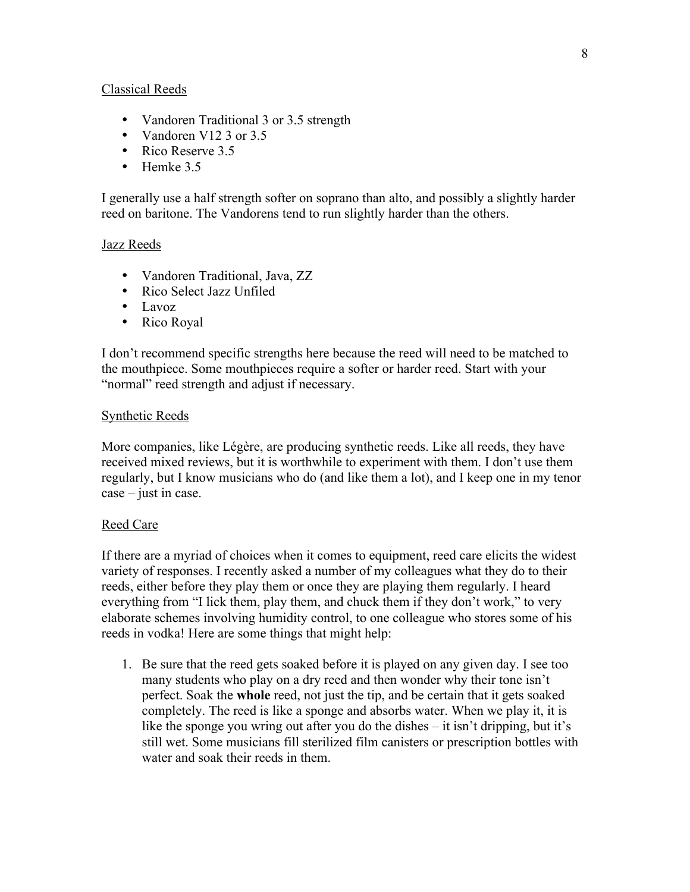# Classical Reeds

- Vandoren Traditional 3 or 3.5 strength
- Vandoren V12 3 or 3.5
- Rico Reserve 3.5
- Hemke 3.5

I generally use a half strength softer on soprano than alto, and possibly a slightly harder reed on baritone. The Vandorens tend to run slightly harder than the others.

## Jazz Reeds

- Vandoren Traditional, Java, ZZ
- Rico Select Jazz Unfiled
- Lavoz
- Rico Royal

I don't recommend specific strengths here because the reed will need to be matched to the mouthpiece. Some mouthpieces require a softer or harder reed. Start with your "normal" reed strength and adjust if necessary.

## Synthetic Reeds

More companies, like Légère, are producing synthetic reeds. Like all reeds, they have received mixed reviews, but it is worthwhile to experiment with them. I don't use them regularly, but I know musicians who do (and like them a lot), and I keep one in my tenor case – just in case.

### Reed Care

If there are a myriad of choices when it comes to equipment, reed care elicits the widest variety of responses. I recently asked a number of my colleagues what they do to their reeds, either before they play them or once they are playing them regularly. I heard everything from "I lick them, play them, and chuck them if they don't work," to very elaborate schemes involving humidity control, to one colleague who stores some of his reeds in vodka! Here are some things that might help:

1. Be sure that the reed gets soaked before it is played on any given day. I see too many students who play on a dry reed and then wonder why their tone isn't perfect. Soak the **whole** reed, not just the tip, and be certain that it gets soaked completely. The reed is like a sponge and absorbs water. When we play it, it is like the sponge you wring out after you do the dishes – it isn't dripping, but it's still wet. Some musicians fill sterilized film canisters or prescription bottles with water and soak their reeds in them.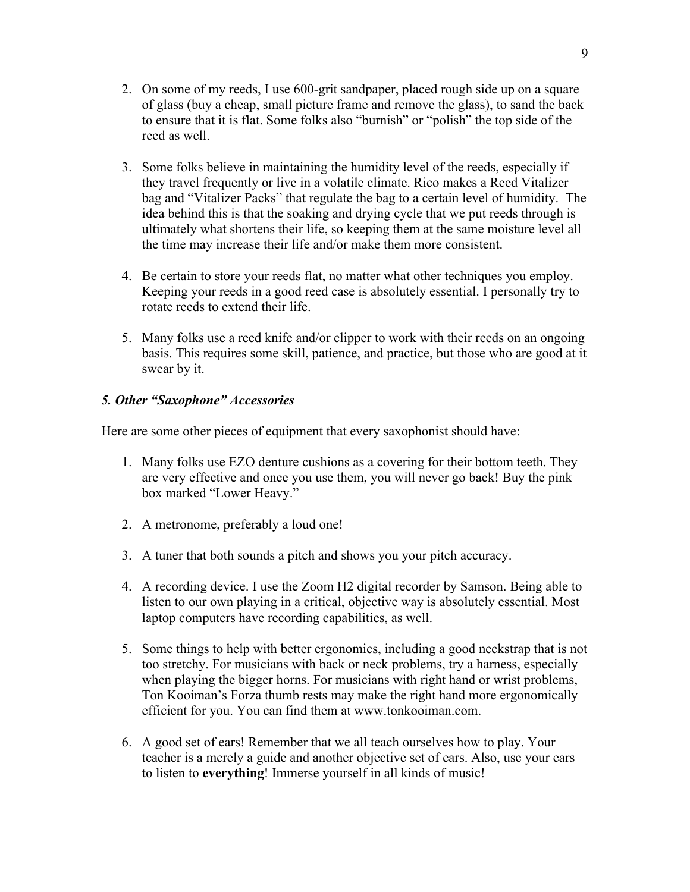- 2. On some of my reeds, I use 600-grit sandpaper, placed rough side up on a square of glass (buy a cheap, small picture frame and remove the glass), to sand the back to ensure that it is flat. Some folks also "burnish" or "polish" the top side of the reed as well.
- 3. Some folks believe in maintaining the humidity level of the reeds, especially if they travel frequently or live in a volatile climate. Rico makes a Reed Vitalizer bag and "Vitalizer Packs" that regulate the bag to a certain level of humidity. The idea behind this is that the soaking and drying cycle that we put reeds through is ultimately what shortens their life, so keeping them at the same moisture level all the time may increase their life and/or make them more consistent.
- 4. Be certain to store your reeds flat, no matter what other techniques you employ. Keeping your reeds in a good reed case is absolutely essential. I personally try to rotate reeds to extend their life.
- 5. Many folks use a reed knife and/or clipper to work with their reeds on an ongoing basis. This requires some skill, patience, and practice, but those who are good at it swear by it.

# *5. Other "Saxophone" Accessories*

Here are some other pieces of equipment that every saxophonist should have:

- 1. Many folks use EZO denture cushions as a covering for their bottom teeth. They are very effective and once you use them, you will never go back! Buy the pink box marked "Lower Heavy."
- 2. A metronome, preferably a loud one!
- 3. A tuner that both sounds a pitch and shows you your pitch accuracy.
- 4. A recording device. I use the Zoom H2 digital recorder by Samson. Being able to listen to our own playing in a critical, objective way is absolutely essential. Most laptop computers have recording capabilities, as well.
- 5. Some things to help with better ergonomics, including a good neckstrap that is not too stretchy. For musicians with back or neck problems, try a harness, especially when playing the bigger horns. For musicians with right hand or wrist problems, Ton Kooiman's Forza thumb rests may make the right hand more ergonomically efficient for you. You can find them at www.tonkooiman.com.
- 6. A good set of ears! Remember that we all teach ourselves how to play. Your teacher is a merely a guide and another objective set of ears. Also, use your ears to listen to **everything**! Immerse yourself in all kinds of music!